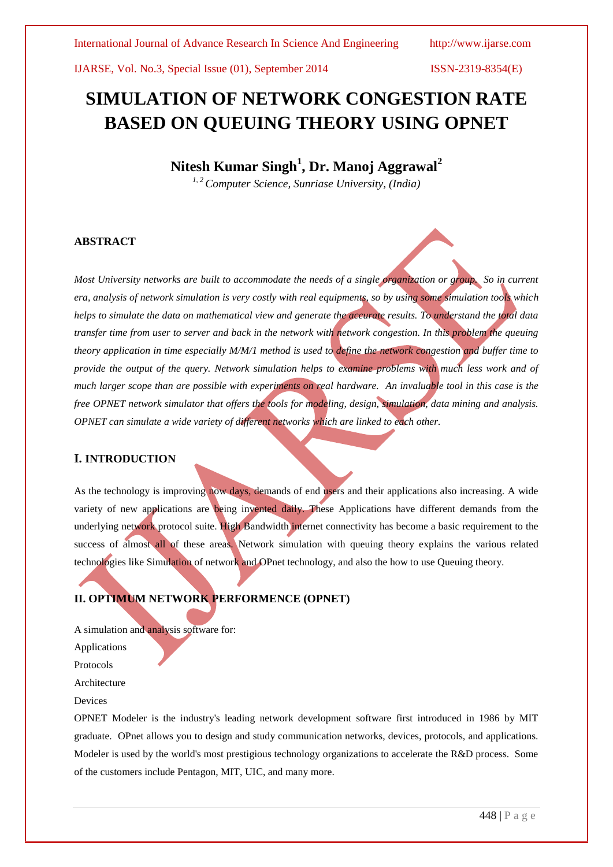# **SIMULATION OF NETWORK CONGESTION RATE BASED ON QUEUING THEORY USING OPNET**

## **Nitesh Kumar Singh<sup>1</sup> , Dr. Manoj Aggrawal<sup>2</sup>**

*1, 2 Computer Science, Sunriase University, (India)*

## **ABSTRACT**

*Most University networks are built to accommodate the needs of a single organization or group. So in current era, analysis of network simulation is very costly with real equipments, so by using some simulation tools which helps to simulate the data on mathematical view and generate the accurate results. To understand the total data transfer time from user to server and back in the network with network congestion. In this problem the queuing theory application in time especially M/M/1 method is used to define the network congestion and buffer time to provide the output of the query. Network simulation helps to examine problems with much less work and of much larger scope than are possible with experiments on real hardware. An invaluable tool in this case is the free OPNET network simulator that offers the tools for modeling, design, simulation, data mining and analysis. OPNET can simulate a wide variety of different networks which are linked to each other.*

## **I. INTRODUCTION**

As the technology is improving now days, demands of end users and their applications also increasing. A wide variety of new applications are being invented daily. These Applications have different demands from the underlying network protocol suite. High Bandwidth internet connectivity has become a basic requirement to the success of almost all of these areas. Network simulation with queuing theory explains the various related technologies like Simulation of network and OPnet technology, and also the how to use Queuing theory.

## **II. OPTIMUM NETWORK PERFORMENCE (OPNET)**

A simulation and analysis software for:

Applications

Protocols

Architecture

Devices

OPNET Modeler is the industry's leading network development software first introduced in 1986 by MIT graduate. OPnet allows you to design and study communication networks, devices, protocols, and applications. Modeler is used by the world's most prestigious technology organizations to accelerate the R&D process. Some of the customers include Pentagon, MIT, UIC, and many more.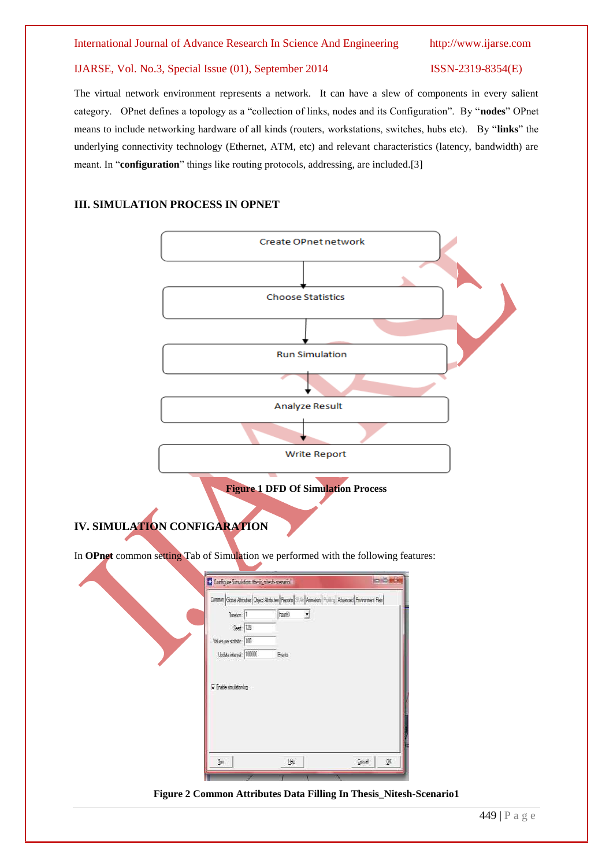The virtual network environment represents a network. It can have a slew of components in every salient category. OPnet defines a topology as a "collection of links, nodes and its Configuration". By "**nodes**" OPnet means to include networking hardware of all kinds (routers, workstations, switches, hubs etc). By "**links**" the underlying connectivity technology (Ethernet, ATM, etc) and relevant characteristics (latency, bandwidth) are meant. In "**configuration**" things like routing protocols, addressing, are included.[3]

## **III. SIMULATION PROCESS IN OPNET**

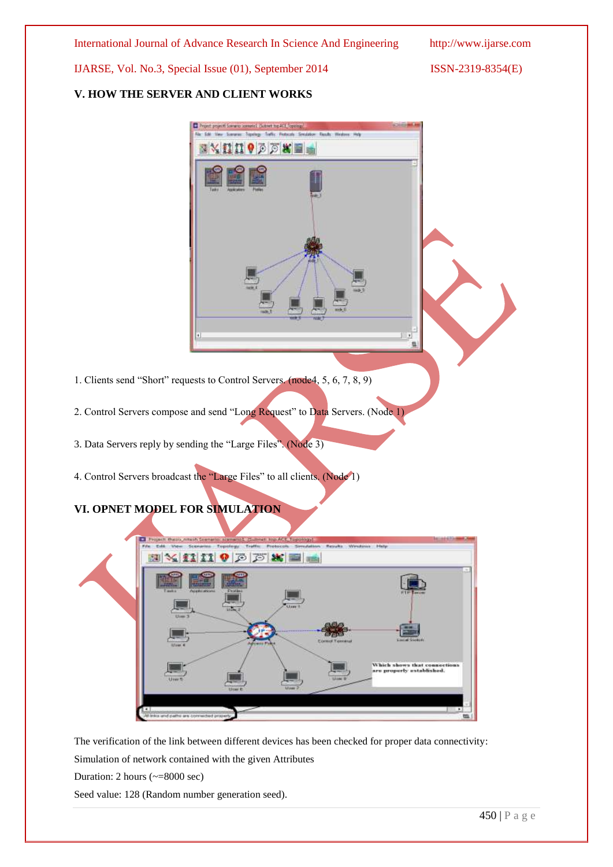## **V. HOW THE SERVER AND CLIENT WORKS**



- 2. Control Servers compose and send "Long Request" to Data Servers. (Node 1)
- 3. Data Servers reply by sending the "Large Files". (Node 3)
- 4. Control Servers broadcast the "Large Files" to all clients. (Node 1)

## **VI. OPNET MODEL FOR SIMULATION**



The verification of the link between different devices has been checked for proper data connectivity:

Simulation of network contained with the given Attributes

Duration: 2 hours (~=8000 sec)

Seed value: 128 (Random number generation seed).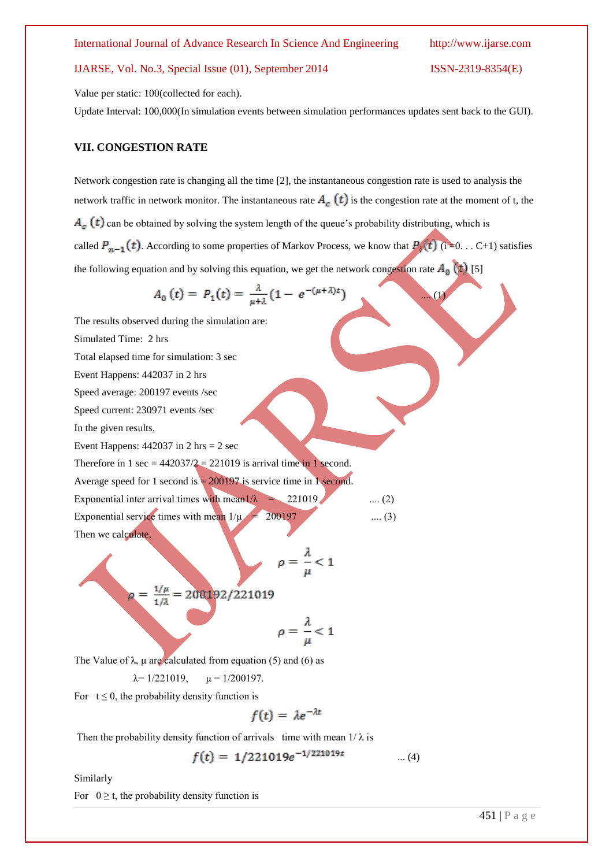Value per static: 100(collected for each).

Update Interval: 100,000(In simulation events between simulation performances updates sent back to the GUI).

## **VII. CONGESTION RATE**

Network congestion rate is changing all the time [2], the instantaneous congestion rate is used to analysis the network traffic in network monitor. The instantaneous rate  $A_c(t)$  is the congestion rate at the moment of t, the  $A_c(t)$  can be obtained by solving the system length of the queue's probability distributing, which is called  $P_{n-1}(t)$ . According to some properties of Markov Process, we know that  $P_i(t)$  (i =0. . . C+1) satisfies the following equation and by solving this equation, we get the network congestion rate  $A_0(t)$  [5]

$$
A_0(t) = P_1(t) = \frac{\lambda}{\mu + \lambda} (1 - e^{-(\mu + \lambda)t}) \tag{1}
$$

The results observed during the simulation are: Simulated Time: 2 hrs Total elapsed time for simulation: 3 sec Event Happens: 442037 in 2 hrs Speed average: 200197 events /sec Speed current: 230971 events /sec In the given results, Event Happens:  $442037$  in 2 hrs = 2 sec Therefore in 1 sec =  $442037/2 = 221019$  is arrival time in 1 second. Average speed for 1 second is  $= 200197$  is service time in 1 second. Exponential inter arrival times with mean1/ $\lambda$  = 221019 .... (2) Exponential service times with mean  $1/\mu = 200197$  ..... (3) Then we calculate,  $\rho = \frac{\lambda}{u} < 1$  $\rho = \frac{1/\mu}{1/\lambda} = 200192/221019$ 

$$
\rho=\frac{\Lambda}{\mu}<1
$$

The Value of  $\lambda$ ,  $\mu$  are calculated from equation (5) and (6) as

$$
\lambda = 1/221019
$$
,  $\mu = 1/200197$ .

For  $t \le 0$ , the probability density function is

$$
f(t) = \lambda e^{-\lambda t}
$$

Then the probability density function of arrivals time with mean  $1/\lambda$  is

$$
f(t) = 1/221019e^{-1/221019t} \qquad \qquad \dots (4)
$$

Similarly

For  $0 \ge t$ , the probability density function is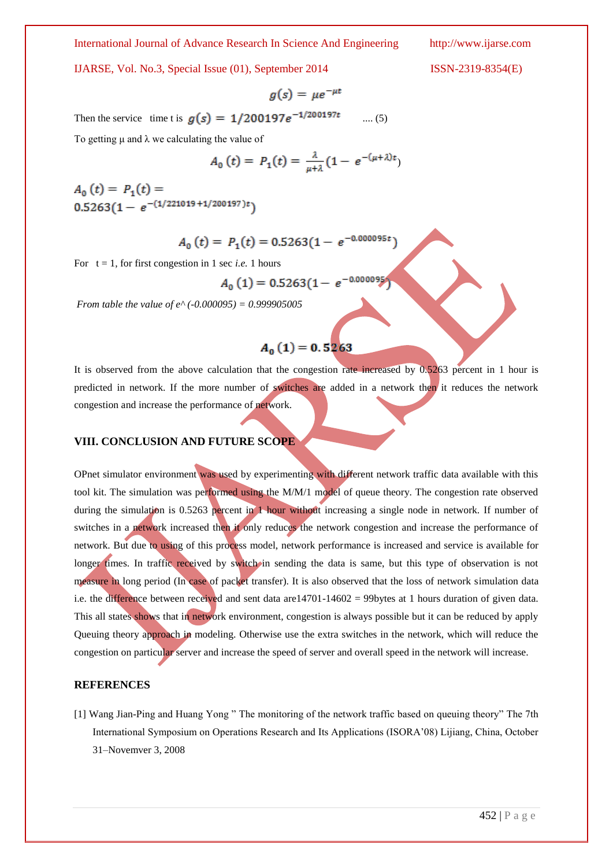#### International Journal of Advance Research In Science And Engineering http://www.ijarse.com

IJARSE, Vol. No.3, Special Issue (01), September 2014 ISSN-2319-8354(E)

$$
g(s) = \mu e^{-\mu t}
$$

Then the service time t is  $g(s) = 1/200197e^{-1/200197t}$  .... (5)

To getting  $\mu$  and  $\lambda$  we calculating the value of

$$
A_0(t) = P_1(t) = \frac{\lambda}{\mu + \lambda} (1 - e^{-(\mu + \lambda)t})
$$

 $A_0(t) = P_1(t) =$  $0.5263(1 - e^{-(1/221019 + 1/200197)t})$ 

$$
A_0(t) = P_1(t) = 0.5263(1 - e^{-0.000095t})
$$

For  $t = 1$ , for first congestion in 1 sec *i.e.* 1 hours

$$
A_0(1) = 0.5263(1 - e^{-0.0000})
$$

*From table the value of e^ (-0.000095) = 0.999905005*

## $A_0(1) = 0.5263$

It is observed from the above calculation that the congestion rate increased by 0.5263 percent in 1 hour is predicted in network. If the more number of switches are added in a network then it reduces the network congestion and increase the performance of network.

## **VIII. CONCLUSION AND FUTURE SCOPE**

OPnet simulator environment was used by experimenting with different network traffic data available with this tool kit. The simulation was performed using the M/M/1 model of queue theory. The congestion rate observed during the simulation is 0.5263 percent in 1 hour without increasing a single node in network. If number of switches in a network increased then it only reduces the network congestion and increase the performance of network. But due to using of this process model, network performance is increased and service is available for longer times. In traffic received by switch in sending the data is same, but this type of observation is not measure in long period (In case of packet transfer). It is also observed that the loss of network simulation data i.e. the difference between received and sent data are14701-14602 = 99bytes at 1 hours duration of given data. This all states shows that in network environment, congestion is always possible but it can be reduced by apply Queuing theory approach in modeling. Otherwise use the extra switches in the network, which will reduce the congestion on particular server and increase the speed of server and overall speed in the network will increase.

## **REFERENCES**

[1] Wang Jian-Ping and Huang Yong " The monitoring of the network traffic based on queuing theory" The 7th International Symposium on Operations Research and Its Applications (ISORA'08) Lijiang, China, October 31–Novemver 3, 2008